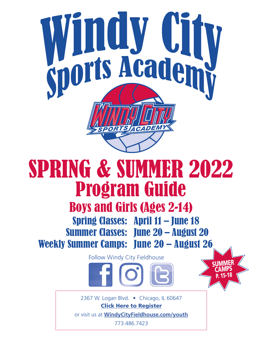

# SPRING & SUMMER 2022 Program Guide

## Boys and Girls (Ages 2-14)

Spring Classes: April 11 – June 18 Summer Classes: June 20 – August 20 Weekly Summer Camps: June 20 – August 26

Follow Windy City Fieldhouse

**[SUMMER](#page-14-0) CAMPS** P. 15-18

2367 W. Logan Blvd. • Chicago, IL 60647 [Click Here to Register](http://wcf.sportssignup.com)

or visit us at **[WindyCityFieldhouse.com](http://WIndyCityFieldhouse.com/youth)/youth**

773.486.7423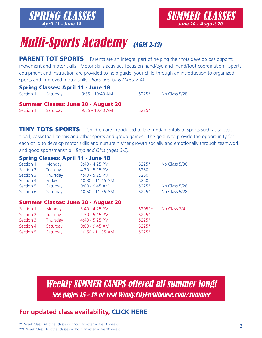

## **Multi-Sports Academy (AGES 2-12)**

PARENT TOT SPORTS Parents are an integral part of helping their tots develop basic sports movement and motor skills. Motor skills activities focus on hand/eye and hand/foot coordination. Sports equipment and instruction are provided to help guide your child through an introduction to organized sports and improved motor skills. Boys and Girls (Ages 2-4).

| <b>Spring Classes: April 11 - June 18</b> |  |                                            |         |               |  |  |  |
|-------------------------------------------|--|--------------------------------------------|---------|---------------|--|--|--|
| Section 1: Saturday                       |  | 9:55 - 10:40 AM                            | $$225*$ | No Class 5/28 |  |  |  |
|                                           |  |                                            |         |               |  |  |  |
|                                           |  | <b>Summer Classes: June 20 - August 20</b> |         |               |  |  |  |
| Section 1: Saturday                       |  | 9:55 - 10:40 AM                            | $$225*$ |               |  |  |  |
|                                           |  |                                            |         |               |  |  |  |

**TINY TOTS SPORTS** Children are introduced to the fundamentals of sports such as soccer, t-ball, basketball, tennis and other sports and group games. The goal is to provide the opportunity for each child to develop motor skills and nurture his/her growth socially and emotionally through teamwork and good sportsmanship. Boys and Girls (Ages 3-5).

#### Spring Classes: April 11 - June 18

| Section 1:<br>Section 2:<br>Section 3:<br>Section 4: | Monday<br>Tuesday<br>Thursday<br>Friday | $3:40 - 4:25$ PM<br>$4:30 - 5:15$ PM<br>$4:40 - 5:25$ PM<br>$10:30 - 11:15$ AM | $$225*$<br>\$250<br>\$250<br>\$250 | No Class 5/30 |
|------------------------------------------------------|-----------------------------------------|--------------------------------------------------------------------------------|------------------------------------|---------------|
| Section 5:                                           | Saturday                                | $9:00 - 9:45$ AM                                                               | $$225*$                            | No Class 5/28 |
| Section 6:                                           | Saturday                                | 10:50 - 11:35 AM                                                               | $$225*$                            | No Class 5/28 |
|                                                      |                                         | <b>Summer Classes: June 20 - August 20</b>                                     |                                    |               |
|                                                      |                                         |                                                                                |                                    |               |
| Section 1:                                           | Monday                                  | $3:40 - 4:25$ PM                                                               | $$205**$                           | No Class 7/4  |
| Section 2:                                           | Tuesday                                 | $4:30 - 5:15$ PM                                                               | $$225*$                            |               |
| Section 3:                                           | Thursday                                | $4:40 - 5:25$ PM                                                               | $$225*$                            |               |
| Section 4:                                           | Saturday                                | $9:00 - 9:45$ AM                                                               | $$225*$                            |               |

[Weekly SUMMER CAMPS offered all summer long!](#page-14-0) See pages 15 - 18 or visit Windy.CityFieldhouse.com/summer

#### **[For updated class availability,](https://www.windycityfieldhouse.com/fieldhouse-programs/youth-programs/classes/multi-sports-academy/) CLICK HERE**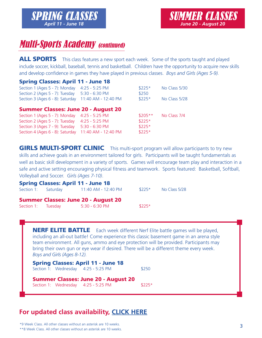## **Multi-Sports Academy (continued)**

ALL SPORTS This class features a new sport each week. Some of the sports taught and played include soccer, kickball, baseball, tennis and basketball. Children have the opportunity to acquire new skills and develop confidence in games they have played in previous classes. *Boys and Girls (Ages 5-9).*

#### Spring Classes: April 11 - June 18

| $4:25 - 5:25$ PM<br>$5:30 - 6:30$ PM       | $$225*$<br>\$250 | No Class 5/30 |
|--------------------------------------------|------------------|---------------|
| 11:40 AM - 12:40 PM                        | $$225*$          | No Class 5/28 |
| <b>Summer Classes: June 20 - August 20</b> |                  |               |
| $4:25 - 5:25$ PM                           | $$205**$         | No Class 7/4  |
| $4:25 - 5:25$ PM                           | $$225*$          |               |
| $5:30 - 6:30$ PM                           | $$225*$          |               |
| 11:40 AM - 12:40 PM                        | $$225*$          |               |
|                                            |                  |               |

**GIRLS MULTI-SPORT CLINIC** This multi-sport program will allow participants to try new skills and achieve goals in an environment tailored for girls. Participants will be taught fundamentals as well as basic skill development in a variety of sports. Games will encourage team play and interaction in a safe and active setting encouraging physical fitness and teamwork. Sports featured: Basketball, Softball, Volleyball and Soccer. *Girls (Ages 7-10)*.

| <b>Spring Classes: April 11 - June 18</b> |  |                                            |         |               |  |  |
|-------------------------------------------|--|--------------------------------------------|---------|---------------|--|--|
|                                           |  | Section 1: Saturday 11:40 AM - 12:40 PM    | $$225*$ | No Class 5/28 |  |  |
|                                           |  | <b>Summer Classes: June 20 - August 20</b> |         |               |  |  |
| Section 1: Tuesday                        |  | $5:30 - 6:30$ PM                           | $$225*$ |               |  |  |

**NERF ELITE BATTLE** Each week different Nerf Elite battle games will be played, including an all-out battle! Come experience this classic basement game in an arena style team environment. All guns, ammo and eye protection will be provided. Participants may bring their own gun or eye wear if desired. There will be a different theme every week. *Boys and Girls (Ages 8-12).*

|  | <b>Spring Classes: April 11 - June 18</b>     |       |
|--|-----------------------------------------------|-------|
|  | Section 1: Wednesday $4:25 - 5:25 \text{ PM}$ | \$250 |
|  |                                               |       |

Summer Classes: June 20 - August 20 Section 1: Wednesday 4:25 - 5:25 PM \$225\*

#### **[For updated class availability,](https://www.windycityfieldhouse.com/fieldhouse-programs/youth-programs/classes/multi-sports-academy/) CLICK HERE**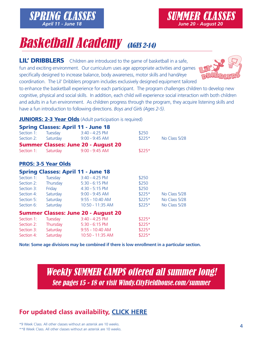## **Basketball Academy (AGES 2-14)**

[SPRING CLASSES](http://wcf.sportssignup.com) *April 11 - June 18*

LIL' DRIBBLERS Children are introduced to the game of basketball in a safe, fun and exciting environment. Our curriculum uses age appropriate activities and games specifically designed to increase balance, body awareness, motor skills and hand/eye coordination. The Lil' Dribblers program includes exclusively designed equipment tailored

to enhance the basketball experience for each participant. The program challenges children to develop new cognitive, physical and social skills. In addition, each child will experience social interaction with both children and adults in a fun environment. As children progress through the program, they acquire listening skills and have a fun introduction to following directions. *Boys and Girls (Ages 2-5)*.

#### **JUNIORS: 2-3 Year Olds** (Adult participation is required)

|                     | <b>Spring Classes: April 11 - June 18</b>  |         |               |
|---------------------|--------------------------------------------|---------|---------------|
| Section 1: Tuesday  | $3:40 - 4:25$ PM                           | \$250   |               |
| Section 2: Saturday | $9:00 - 9:45$ AM                           | $$225*$ | No Class 5/28 |
|                     | <b>Summer Classes: June 20 - August 20</b> |         |               |
| Section 1: Saturday | $9:00 - 9:45$ AM                           | $$225*$ |               |

#### PROS: 3-5 Year Olds

|            |                | <b>Spring Classes: April 11 - June 18</b>  |         |               |
|------------|----------------|--------------------------------------------|---------|---------------|
| Section 1: | <b>Tuesday</b> | $3:40 - 4:25$ PM                           | \$250   |               |
| Section 2: | Thursday       | $5:30 - 6:15$ PM                           | \$250   |               |
| Section 3: | Friday         | $4:30 - 5:15$ PM                           | \$250   |               |
| Section 4: | Saturday       | $9:00 - 9:45$ AM                           | $$225*$ | No Class 5/28 |
| Section 5: | Saturday       | $9:55 - 10:40$ AM                          | $$225*$ | No Class 5/28 |
| Section 6: | Saturday       | 10:50 - 11:35 AM                           | $$225*$ | No Class 5/28 |
|            |                | <b>Summer Classes: June 20 - August 20</b> |         |               |
| Section 1: | Tuesday        | $3:40 - 4:25$ PM                           | $$225*$ |               |
| Section 2: | Thursday       | $5:30 - 6:15$ PM                           | $$225*$ |               |
| Section 3: | Saturday       | $9:55 - 10:40$ AM                          | $$225*$ |               |
| Section 4: | Saturday       | 10:50 - 11:35 AM                           | \$225*  |               |

**Note: Some age divisions may be combined if there is low enrollment in a particular section.**

[Weekly SUMMER CAMPS offered all summer long!](#page-14-0) See pages 15 - 18 or visit Windy.CityFieldhouse.com/summer

### **[For updated class availability,](https://www.windycityfieldhouse.com/fieldhouse-programs/youth-programs/classes/basketball-academy/) CLICK HERE**



4

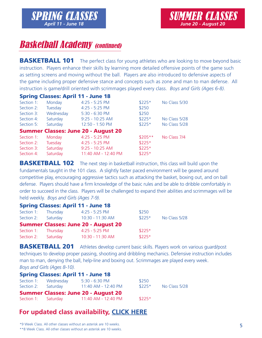## **Basketball Academy (continued)**

**BASKETBALL 101** The perfect class for young athletes who are looking to move beyond basic instruction. Players enhance their skills by learning more detailed offensive points of the game such as setting screens and moving without the ball. Players are also introduced to defensive aspects of the game including proper defensive stance and concepts such as zone and man to man defense. All instruction is game/drill oriented with scrimmages played every class. *Boys and Girls (Ages 6-8).*

#### Spring Classes: April 11 - June 18

| Monday    | $4:25 - 5:25$ PM          | $$225*$                                    | No Class 5/30 |
|-----------|---------------------------|--------------------------------------------|---------------|
| Tuesday   | $4:25 - 5:25$ PM          | \$250                                      |               |
| Wednesday | $5:30 - 6:30$ PM          | \$250                                      |               |
| Saturday  | $9:25 - 10:25$ AM         | $$225*$                                    | No Class 5/28 |
| Saturday  | $12:50 - 1:50 \text{ PM}$ | $$225*$                                    | No Class 5/28 |
|           |                           |                                            |               |
| Monday    | $4:25 - 5:25$ PM          | $$205**$                                   | No Class 7/4  |
| Tuesday   | $4:25 - 5:25$ PM          | $$225*$                                    |               |
| Saturday  | $9:25 - 10:25$ AM         | $$225*$                                    |               |
| Saturday  | 11:40 AM - 12:40 PM       | $$225*$                                    |               |
|           |                           | <b>Summer Classes: June 20 - August 20</b> |               |

**BASKETBALL 102** The next step in basketball instruction, this class will build upon the fundamentals taught in the 101 class. A slightly faster paced environment will be geared around competitive play, encouraging aggressive tactics such as attacking the basket, boxing out, and on ball defense. Players should have a firm knowledge of the basic rules and be able to dribble comfortably in order to succeed in the class. Players will be challenged to expand their abilities and scrimmages will be held weekly. *Boys and Girls (Ages 7-9).* 

|                     |          | <b>Spring Classes: April 11 - June 18</b>  |         |               |
|---------------------|----------|--------------------------------------------|---------|---------------|
| Section 1: Thursday |          | $4:25 - 5:25$ PM                           | \$250   |               |
| Section 2:          | Saturday | 10:30 - 11:30 AM                           | $$225*$ | No Class 5/28 |
|                     |          | <b>Summer Classes: June 20 - August 20</b> |         |               |
| Section 1: Thursday |          | $4:25 - 5:25$ PM                           | $$225*$ |               |
| Section 2:          | Saturday | 10:30 - 11:30 AM                           | $$225*$ |               |

**BASKETBALL 201** Athletes develop current basic skills. Players work on various quard/post techniques to develop proper passing, shooting and dribbling mechanics. Defensive instruction includes man to man, denying the ball, help-line and boxing out. Scrimmages are played every week. *Boys and Girls (Ages 8-10).*

|                      | <b>Spring Classes: April 11 - June 18</b>  |         |               |
|----------------------|--------------------------------------------|---------|---------------|
| Section 1: Wednesday | $5:30 - 6:30$ PM                           | \$250   |               |
| Section 2: Saturday  | 11:40 AM - 12:40 PM                        | $$225*$ | No Class 5/28 |
|                      | <b>Summer Classes: June 20 - August 20</b> |         |               |
|                      | Section 1: Saturday 11:40 AM - 12:40 PM    | $$225*$ |               |

### **[For updated class availability,](https://www.windycityfieldhouse.com/fieldhouse-programs/youth-programs/classes/basketball-academy/) CLICK HERE**

\*9 Week Class. All other classes without an asterisk are 10 weeks.

\*\*8 Week Class. All other classes without an asterisk are 10 weeks.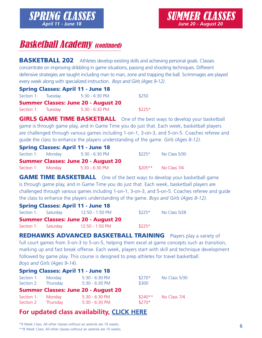## **Basketball Academy (continued)**

**BASKETBALL 202** Athletes develop existing skills and achieving personal goals. Classes concentrate on improving dribbling in game situations, passing and shooting techniques. Different defensive strategies are taught including man to man, zone and trapping the ball. Scrimmages are played every week along with specialized instruction. *Boys and Girls (Ages 9-12).*

|                    | <b>Spring Classes: April 11 - June 18</b>  |         |
|--------------------|--------------------------------------------|---------|
| Section 1: Tuesday | 5:30 - 6:30 PM                             | \$250   |
|                    | <b>Summer Classes: June 20 - August 20</b> |         |
| Section 1: Tuesday | $5:30 - 6:30$ PM                           | $$225*$ |

**GIRLS GAME TIME BASKETBALL** One of the best ways to develop your basketball game is through game play, and in Game Time you do just that. Each week, basketball players are challenged through various games including 1-on-1, 3-on-3, and 5-on-5. Coaches referee and guide the class to enhance the players understanding of the game. *Girls (Ages 8-12).*

| <b>Spring Classes: April 11 - June 18</b> |  |                                            |          |               |  |  |
|-------------------------------------------|--|--------------------------------------------|----------|---------------|--|--|
| Section 1: Monday                         |  | $5:30 - 6:30$ PM                           | $$225*$  | No Class 5/30 |  |  |
|                                           |  | <b>Summer Classes: June 20 - August 20</b> |          |               |  |  |
| Section 1: Monday                         |  | $5:30 - 6:30 \text{ PM}$                   | $$205**$ | No Class 7/4  |  |  |

**GAME TIME BASKETBALL** One of the best ways to develop your basketball game is through game play, and in Game Time you do just that. Each week, basketball players are challenged through various games including 1-on-1, 3-on-3, and 5-on-5. Coaches referee and guide the class to enhance the players understanding of the game. *Boys and Girls (Ages 8-12).*

| <b>Spring Classes: April 11 - June 18</b> |                                     |                                            |         |               |  |  |  |
|-------------------------------------------|-------------------------------------|--------------------------------------------|---------|---------------|--|--|--|
|                                           | Section 1: Saturday 12:50 - 1:50 PM |                                            | $$225*$ | No Class 5/28 |  |  |  |
|                                           |                                     | <b>Summer Classes: June 20 - August 20</b> |         |               |  |  |  |
|                                           | Section 1: Saturday 12:50 - 1:50 PM |                                            | $$225*$ |               |  |  |  |

**REDHAWKS ADVANCED BASKETBALL TRAINING** Players play a variety of full court games from 3-on-3 to 5-on-5, helping them excel at game concepts such as transition, marking up and fast break offense. Each week, players start with skill and technique development followed by game play. This course is designed to prep athletes for travel basketball. *Boys and Girls (Ages 9-14).*

| <b>Spring Classes: April 11 - June 18</b> |          |                                            |          |               |  |  |
|-------------------------------------------|----------|--------------------------------------------|----------|---------------|--|--|
| Section 1:                                | Monday   | $5:30 - 6:30$ PM                           | $$270*$  | No Class 5/30 |  |  |
| Section 2: Thursday                       |          | $5:30 - 6:30$ PM                           | \$300    |               |  |  |
|                                           |          | <b>Summer Classes: June 20 - August 20</b> |          |               |  |  |
| Section 1:                                | Monday   | $5:30 - 6:30$ PM                           | $$240**$ | No Class 7/4  |  |  |
| Section 2:                                | Thursday | $5:30 - 6:30$ PM                           | $$270*$  |               |  |  |

### **[For updated class availability,](https://www.windycityfieldhouse.com/fieldhouse-programs/youth-programs/classes/basketball-academy/) CLICK HERE**

\*9 Week Class. All other classes without an asterisk are 10 weeks.

\*\*8 Week Class. All other classes without an asterisk are 10 weeks.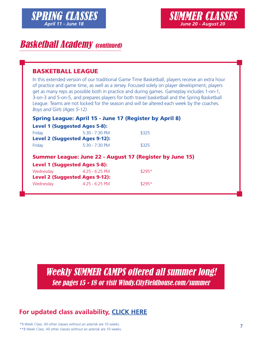

## **Basketball Academy (continued)**

#### BASKETBALL LEAGUE

In this extended version of our traditional Game Time Basketball, players receive an extra hour of practice and game time, as well as a Jersey. Focused solely on player development, players get as many reps as possible both in practice and during games. Gameplay includes 1-on-1, 3-on-3 and 5-on-5, and prepares players for both travel basketball and the Spring Basketball League. Teams are not locked for the season and will be altered each week by the coaches. *Boys and Girls (Ages 5-12).*

|  |  |  |  |  |  | Spring League: April 15 - June 17 (Register by April 8) |  |  |  |
|--|--|--|--|--|--|---------------------------------------------------------|--|--|--|
|--|--|--|--|--|--|---------------------------------------------------------|--|--|--|

|        | <b>Level 1 (Suggested Ages 5-8):</b>  |       |
|--------|---------------------------------------|-------|
| Friday | $5:30 - 7:30$ PM                      | \$325 |
|        | <b>Level 2 (Suggested Ages 9-12):</b> |       |
| Friday | $5:30 - 7:30$ PM                      | \$325 |

#### Summer League: June 22 - August 17 (Register by June 15)

|  | <b>Level 1 (Suggested Ages 5-8):</b> |  |
|--|--------------------------------------|--|
|  |                                      |  |

| Wednesday                             | $4:25 - 6:25$ PM | $$295*$ |
|---------------------------------------|------------------|---------|
| <b>Level 2 (Suggested Ages 9-12):</b> |                  |         |
| Wednesday                             | $4:25 - 6:25$ PM | $$295*$ |

[Weekly SUMMER CAMPS offered all summer long!](#page-14-0) See pages 15 - 18 or visit Windy.CityFieldhouse.com/summer

### **[For updated class availability,](https://www.windycityfieldhouse.com/fieldhouse-programs/youth-programs/classes/basketball-academy/) CLICK HERE**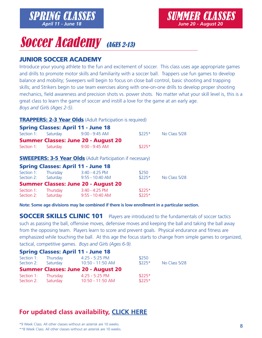## **Soccer Academy** (AGES 2-13)

#### JUNIOR SOCCER ACADEMY

Introduce your young athlete to the fun and excitement of soccer. This class uses age appropriate games and drills to promote motor skills and familiarity with a soccer ball. Trappers use fun games to develop balance and mobility; Sweepers will begin to focus on close ball control, basic shooting and trapping skills; and Strikers begin to use team exercises along with one-on-one drills to develop proper shooting mechanics, field awareness and precision shots vs. power shots. No matter what your skill level is, this is a great class to learn the game of soccer and instill a love for the game at an early age. *Boys and Girls (Ages 2-5)*.

#### **TRAPPERS: 2-3 Year Olds** (Adult Participation is required)

Section 2: Saturday 9:55 - 10:40 AM \$225\*

|            | <b>Spring Classes: April 11 - June 18</b>                         |         |               |
|------------|-------------------------------------------------------------------|---------|---------------|
| Section 1: | Saturday 9:00 - 9:45 AM                                           | $$225*$ | No Class 5/28 |
|            | <b>Summer Classes: June 20 - August 20</b>                        |         |               |
|            | Section 1: Saturday 9:00 - 9:45 AM                                | $$225*$ |               |
|            | <b>SWEEPERS: 3-5 Year Olds</b> (Adult Participation if necessary) |         |               |
|            | <b>Spring Classes: April 11 - June 18</b>                         |         |               |
|            | Section 1: Thursday 3:40 - 4:25 PM                                | \$250   |               |
|            | Section 2: Saturday 9:55 - 10:40 AM                               | $$225*$ | No Class 5/28 |
|            | <b>Summer Classes: June 20 - August 20</b>                        |         |               |
|            | Section 1: Thursday 3:40 - 4:25 PM                                | $$225*$ |               |

**Note: Some age divisions may be combined if there is low enrollment in a particular section.** 

SOCCER SKILLS CLINIC 101 Players are introduced to the fundamentals of soccer tactics such as passing the ball, offensive moves, defensive moves and keeping the ball and taking the ball away from the opposing team. Players learn to score and prevent goals. Physical endurance and fitness are emphasized while touching the ball. At this age the focus starts to change from simple games to organized, tactical, competitive games. *Boys and Girls (Ages 6-9).*

#### Spring Classes: April 11 - June 18

| Section 1: | Thursday | $4:25 - 5:25$ PM                           | \$250   | No Class 5/28 |
|------------|----------|--------------------------------------------|---------|---------------|
| Section 2: | Saturday | 10:50 - 11:50 AM                           | $$225*$ |               |
|            |          | <b>Summer Classes: June 20 - August 20</b> |         |               |
| Section 1: | Thursday | $4:25 - 5:25$ PM                           | $$225*$ |               |
| Section 2: | Saturday | 10:50 - 11:50 AM                           | $$225*$ |               |

### **[For updated class availability,](https://www.windycityfieldhouse.com/fieldhouse-programs/youth-programs/classes/soccer-academy/) CLICK HERE**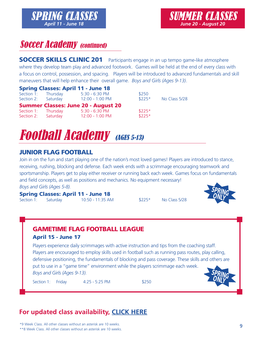## **Soccer Academy (continued)**

SOCCER SKILLS CLINIC 201 Participants engage in an up tempo game-like atmosphere where they develop team play and advanced footwork. Games will be held at the end of every class with a focus on control, possession, and spacing. Players will be introduced to advanced fundamentals and skill maneuvers that will help enhance their overall game. *Boys and Girls (Ages 9-13)*.

|                     |                     | <b>Spring Classes: April 11 - June 18</b>  |         |               |
|---------------------|---------------------|--------------------------------------------|---------|---------------|
| Section 1: Thursday |                     | $5:30 - 6:30$ PM                           | \$250   |               |
|                     | Section 2: Saturday | 12:00 - 1:00 PM                            | $$225*$ | No Class 5/28 |
|                     |                     | <b>Summer Classes: June 20 - August 20</b> |         |               |
| Section 1: Thursday |                     | 5:30 - 6:30 PM                             | $$225*$ |               |
|                     | Section 2: Saturday | 12:00 - 1:00 PM                            | $$225*$ |               |



#### JUNIOR FLAG FOOTBALL

Join in on the fun and start playing one of the nation's most loved games! Players are introduced to stance, receiving, rushing, blocking and defense. Each week ends with a scrimmage encouraging teamwork and sportsmanship. Players get to play either receiver or running back each week. Games focus on fundamentals and field concepts, as well as positions and mechanics. No equipment necessary! *Boys and Girls (Ages 5-8).*

Spring Classes: April 11 - June 18 Section 1: Saturday 10:50 - 11:35 AM \$225\* No Class 5/28



#### GAMETIME FLAG FOOTBALL LEAGUE April 15 - June 17 Players experience daily scrimmages with active instruction and tips from the coaching staff. Players are encouraged to employ skills used in football such as running pass routes, play calling, defensive positioning, the fundamentals of blocking and pass coverage. These skills and others are put to use in a "game time" environment while the players scrimmage each week. *Boys and Girls (Ages 9-13).* Section 1: Friday 4:25 - 5:25 PM \$250 **SPRING ONLY**

### **[For updated class availability,](https://www.windycityfieldhouse.com/fieldhouse-programs/youth-programs/classes/football-academy/) CLICK HERE**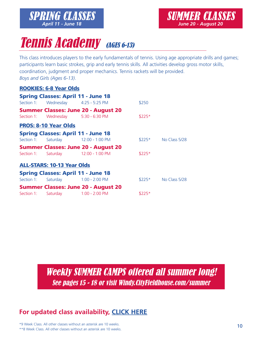

## **Tennis Academy (AGES 6-13)**

[SPRING CLASSES](http://wcf.sportssignup.com) *April 11 - June 18*

This class introduces players to the early fundamentals of tennis. Using age appropriate drills and games; participants learn basic strokes, grip and early tennis skills. All activities develop gross motor skills, coordination, judgment and proper mechanics. Tennis rackets will be provided. *Boys and Girls (Ages 6-13)*.

#### ROOKIES: 6-8 Year Olds

|            | <b>Spring Classes: April 11 - June 18</b> |                                            |         |                       |
|------------|-------------------------------------------|--------------------------------------------|---------|-----------------------|
|            | Section 1: Wednesday 4:25 - 5:25 PM       |                                            | \$250   |                       |
|            |                                           | <b>Summer Classes: June 20 - August 20</b> |         |                       |
|            | Section 1: Wednesday 5:30 - 6:30 PM       |                                            | $$225*$ |                       |
|            | <b>PROS: 8-10 Year Olds</b>               |                                            |         |                       |
|            | <b>Spring Classes: April 11 - June 18</b> |                                            |         |                       |
| Section 1: |                                           | Saturday 12:00 - 1:00 PM                   |         | $$225*$ No Class 5/28 |
|            |                                           | <b>Summer Classes: June 20 - August 20</b> |         |                       |
|            | Section 1: Saturday 12:00 - 1:00 PM       |                                            | $$225*$ |                       |
|            | <b>ALL-STARS: 10-13 Year Olds</b>         |                                            |         |                       |
|            | <b>Spring Classes: April 11 - June 18</b> |                                            |         |                       |
| Section 1: | Saturday 1:00 - 2:00 PM                   |                                            | $$225*$ | No Class 5/28         |
|            |                                           | <b>Summer Classes: June 20 - August 20</b> |         |                       |
| Section 1: | Saturday 1:00 - 2:00 PM                   |                                            | $$225*$ |                       |

[Weekly SUMMER CAMPS offered all summer long!](#page-14-0) See pages 15 - 18 or visit Windy.CityFieldhouse.com/summer

### **[For updated class availability,](https://www.windycityfieldhouse.com/fieldhouse-programs/youth-programs/classes/tennis-academy/) CLICK HERE**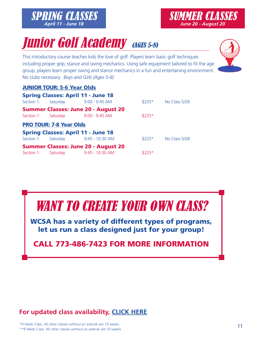#### **Junior Golf Academy (AGES 5-8)**  $S$  starting the local course teachers in the love of  $q$

This introductory course teaches kids the love of golf. Players learn basic golf techniques including proper grip, stance and swing mechanics. Using safe equipment tailored to fit the age group, players learn proper swing and stance mechanics in a fun and entertaining environment. No clubs necessary. *Boys and Girls (Ages 5-8)*. learn basic golf techniques including proper grip, stance and swing mechanics. ry course teaches kids the love of golf. Players learn basic golf techniques l

#### **JUNIOR TOUR: 5-6 Year Olds**

|            | JUNIUN IUUNI J V TUUL UNJ      |                                            |         |               |
|------------|--------------------------------|--------------------------------------------|---------|---------------|
|            |                                | <b>Spring Classes: April 11 - June 18</b>  |         |               |
| Section 1: | Saturday                       | $9:00 - 9:45$ AM                           | $$225*$ | No Class 5/28 |
|            |                                | <b>Summer Classes: June 20 - August 20</b> |         |               |
| Section 1: | Saturday                       | $9:00 - 9:45$ AM                           | $$225*$ |               |
|            | <b>PRO TOUR: 7-8 Year Olds</b> |                                            |         |               |
|            |                                | <b>Spring Classes: April 11 - June 18</b>  |         |               |
| Section 1: | Saturday                       | 9:45 - 10:30 AM                            | $$225*$ | No Class 5/28 |
|            |                                | <b>Summer Classes: June 20 - August 20</b> |         |               |
| Section 1: | Saturday                       | 9:45 - 10:30 AM                            | $$225*$ |               |
|            |                                |                                            |         |               |

## WANT TO CREATE YOUR OWN CLASS?

WCSA has a variety of different types of programs, let us run a class designed just for your group!

### CALL 773-486-7423 FOR MORE INFORMATION

### **[For updated class availability,](https://www.windycityfieldhouse.com/fieldhouse-programs/youth-programs/classes/junior-golf-academy/) CLICK HERE**





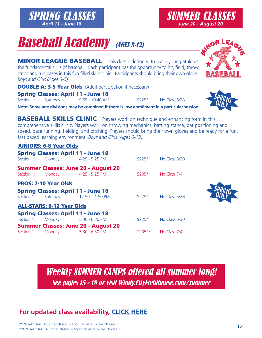**Baseball Academy (AGES 3-12)** 

**MINOR LEAGUE BASEBALL** This class is designed to teach young athletes the fundamental skills of baseball. Each participant has the opportunity to hit, field, throw, catch and run bases in this fun filled skills clinic. Participants should bring their own glove. *Boys and Girls (Ages 3-5).*

**DOUBLE A: 3-5 Year Olds** (Adult participation if necessary)

Spring Classes: April 11 - June 18

[SPRING CLASSES](http://wcf.sportssignup.com) *April 11 - June 18*

Section 1: Saturday 9:55 - 10:40 AM \$225\* No Class 5/28

Spring Classes: April 11 - June 18

**Note: Some age divisions may be combined if there is low enrollment in a particular session.**

**BASEBALL SKILLS CLINIC** Players work on technique and enhancing form in this comprehensive skills clinic. Players work on throwing mechanics, batting stance, bat positioning and speed, base running, fielding, and pitching. Players should bring their own gloves and be ready for a fun, fast paced learning environment. *Boys and Girls (Ages 6-12).*

#### JUNIORS: 6-8 Year Olds

|                                  | <b>Summer Classes: June 20 - August 20</b><br>Section 1: Monday 4:25 - 5:25 PM | $$205**$ | No Class 7/4  |
|----------------------------------|--------------------------------------------------------------------------------|----------|---------------|
| <b>PROS: 7-10 Year Olds</b>      |                                                                                |          |               |
|                                  | <b>Spring Classes: April 11 - June 18</b>                                      |          |               |
|                                  | Section 1: Saturday 12:50 - 1:50 PM                                            | $$225*$  | No Class 5/28 |
| <b>ALL-STARS: 8-12 Year Olds</b> |                                                                                |          |               |
|                                  | <b>Spring Classes: April 11 - June 18</b>                                      |          |               |
|                                  | Section 1: Monday 5:30 - 6:30 PM                                               | $$225*$  | No Class 5/30 |
|                                  | <b>Summer Classes: June 20 - August 20</b>                                     |          |               |

Section 1: Monday 5:30 - 6:30 PM \$205\*\* No Class 7/4

Section 1: Monday 4:25 - 5:25 PM \$225\* No Class 5/30



[Weekly SUMMER CAMPS offered all summer long!](#page-14-0) See pages 15 - 18 or visit Windy.CityFieldhouse.com/summer

### **[For updated class availability,](https://www.windycityfieldhouse.com/fieldhouse-programs/youth-programs/classes/baseball-academy/) CLICK HERE**



**SPRING ONLY**

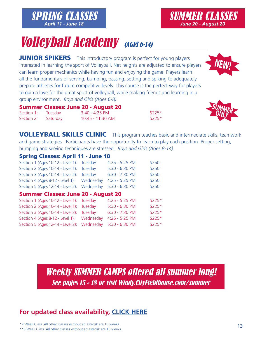## **Volleyball Academy** (AGES 6-14)

[SPRING CLASSES](http://wcf.sportssignup.com) *April 11 - June 18*

JUNIOR SPIKERS This introductory program is perfect for young players interested in learning the sport of Volleyball. Net heights are adjusted to ensure players can learn proper mechanics while having fun and enjoying the game. Players learn all the fundamentals of serving, bumping, passing, setting and spiking to adequately prepare athletes for future competitive levels. This course is the perfect way for players to gain a love for the great sport of volleyball, while making friends and learning in a group environment. *Boys and Girls (Ages 6-8)*.

|                    | <b>Summer Classes: June 20 - August 20</b> |         |
|--------------------|--------------------------------------------|---------|
| Section 1: Tuesday | 3:40 - 4:25 PM                             | $$225*$ |

VOLLEYBALL SKILLS CLINIC This program teaches basic and intermediate skills, teamwork and game strategies. Participants have the opportunity to learn to play each position. Proper setting, bumping and serving techniques are stressed. *Boys and Girls (Ages 8-14)*.

#### Spring Classes: April 11 - June 18

| Section 1 (Ages 10-12 - Level 1): Tuesday                  | $4:25 - 5:25$ PM | \$250 |
|------------------------------------------------------------|------------------|-------|
| Section 2 (Ages 10-14 - Level 1): Tuesday                  | 5:30 - 6:30 PM   | \$250 |
| Section 3 (Ages 10-14 - Level 2): Tuesday                  | 6:30 - 7:30 PM   | \$250 |
| Section 4 (Ages 8-12 - Level 1): Wednesday 4:25 - 5:25 PM  |                  | \$250 |
| Section 5 (Ages 12-14 - Level 2): Wednesday 5:30 - 6:30 PM |                  | \$250 |

Section 2: Saturday 10:45 - 11:30 AM \$225\*

#### Summer Classes: June 20 - August 20

| Section 1 (Ages 10-12 - Level 1): Tuesday                  | $4:25 - 5:25$ PM | $$225*$ |
|------------------------------------------------------------|------------------|---------|
| Section 2 (Ages 10-14 - Level 1): Tuesday                  | 5:30 - 6:30 PM   | $$225*$ |
| Section 3 (Ages 10-14 - Level 2): Tuesday                  | 6:30 - 7:30 PM   | $$225*$ |
| Section 4 (Ages 8-12 - Level 1): Wednesday 4:25 - 5:25 PM  |                  | $$225*$ |
| Section 5 (Ages 12-14 - Level 2): Wednesday 5:30 - 6:30 PM |                  | $$225*$ |
|                                                            |                  |         |

[Weekly SUMMER CAMPS offered all summer long!](#page-14-0) See pages 15 - 18 or visit Windy.CityFieldhouse.com/summer





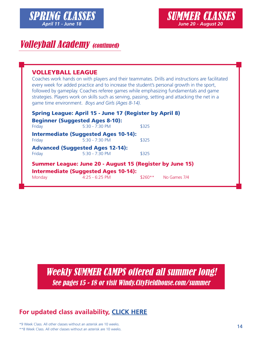

## **Volleyball Academy (continued)**

#### VOLLEYBALL LEAGUE

Coaches work hands on with players and their teammates. Drills and instructions are facilitated every week for added practice and to increase the student's personal growth in the sport, followed by gameplay. Coaches referee games while emphasizing fundamentals and game strategies. Players work on skills such as serving, passing, setting and attacking the net in a game time environment. *Boys and Girls (Ages 8-14).*

|        | <b>Spring League: April 15 - June 17 (Register by April 8)</b>                                                 |          |              |
|--------|----------------------------------------------------------------------------------------------------------------|----------|--------------|
|        | <b>Beginner (Suggested Ages 8-10):</b>                                                                         |          |              |
| Friday | $5.30 - 7.30 P M$                                                                                              | \$325    |              |
| Friday | <b>Intermediate (Suggested Ages 10-14):</b><br>$5:30 - 7:30$ PM                                                | \$325    |              |
| Friday | <b>Advanced (Suggested Ages 12-14):</b><br>$5:30 - 7:30$ PM                                                    | \$325    |              |
|        | <b>Summer League: June 20 - August 15 (Register by June 15)</b><br><b>Intermediate (Suggested Ages 10-14):</b> |          |              |
| Monday | $4:25 - 6:25$ PM                                                                                               | $$260**$ | No Games 7/4 |

[Weekly SUMMER CAMPS offered all summer long!](#page-14-0) See pages 15 - 18 or visit Windy.CityFieldhouse.com/summer

#### **[For updated class availability,](https://www.windycityfieldhouse.com/fieldhouse-programs/youth-programs/classes/volleyball-academy/) CLICK HERE**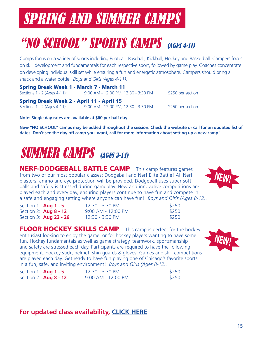## <span id="page-14-0"></span>"NO SCHOOL" SPORTS CAMPS (AGES 4-11)

Camps focus on a variety of sports including Football, Baseball, Kickball, Hockey and Basketball. Campers focus on skill development and fundamentals for each respective sport, followed by game play. Coaches concentrate on developing individual skill set while ensuring a fun and energetic atmosphere. Campers should bring a snack and a water bottle. *Boys and Girls (Ages 4-11).*

Spring Break Week 1 - March 7 - March 11 Sections 1 - 2 (Ages 4-11): 9:00 AM - 12:00 PM, 12:30 - 3:30 PM \$250 per section Spring Break Week 2 - April 11 - April 15 Sections 1 - 2 (Ages 4-11): 9:00 AM - 12:00 PM, 12:30 - 3:30 PM \$250 per section

**Note: Single day rates are available at \$60 per half day**

**New "NO SCHOOL" camps may be added throughout the session. Check the website or call for an updated list of dates. Don't see the day off camp you want, call for more information about setting up a new camp!**

## SUMMER CAMPS (AGES 3-14)

NERF-DODGEBALL BATTLE CAMP This camp features games from two of our most popular classes: Dodgeball and Nerf Elite Battle! All Nerf blasters, ammo and eye protection will be provided. Dodgeball uses super soft balls and safety is stressed during gameplay. New and innovative competitions are played each and every day, ensuring players continue to have fun and compete in a safe and engaging setting where anyone can have fun! *Boys and Girls (Ages 8-12).*



FLOOR HOCKEY SKILLS CAMP This camp is perfect for the hockey enthusiast looking to enjoy the game, or for hockey players wanting to have some fun. Hockey fundamentals as well as game strategy, teamwork, sportsmanship and safety are stressed each day. Participants are required to have the following equipment: hockey stick, helmet, shin guards & gloves. Games and skill competitions are played each day. Get ready to have fun playing one of Chicago's favorite sports in a fun, safe, and inviting environment! *Boys and Girls (Ages 8-12).* 

| Section 1: $Aug 1 - 5$       | 12:30 - 3:30 PM      | \$250 |
|------------------------------|----------------------|-------|
| Section 2: <b>Aug 8 - 12</b> | $9:00$ AM - 12:00 PM | \$250 |

#### **[For updated class availability,](https://www.windycityfieldhouse.com/fieldhouse-programs/youth-programs/camps/) CLICK HERE**





NEW

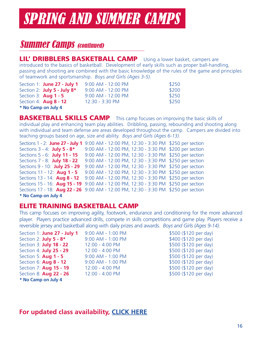## **Summer Camps (continued)**

LIL' DRIBBLERS BASKETBALL CAMP Using a lower basket, campers are introduced to the basics of basketball. Development of early skills such as proper ball-handling, passing and shooting are combined with the basic knowledge of the rules of the game and principles of teamwork and sportsmanship. *Boys and Girls (Ages 3-5).*

| Section 1: June 27 - July 1        | 9:00 AM - 12:00 PM   | \$250 |
|------------------------------------|----------------------|-------|
| Section 2: <b>July 5 - July 8*</b> | 9:00 AM - 12:00 PM   | \$200 |
| Section 3: <b>Aug 1 - 5</b>        | $9:00$ AM - 12:00 PM | \$250 |
| Section 4: $Aug 8 - 12$            | 12:30 - 3:30 PM      | \$250 |
| * No Camp on July 4                |                      |       |

**BASKETBALL SKILLS CAMP** This camp focuses on improving the basic skills of individual play and enhancing team play abilities. Dribbling, passing, rebounding and shooting along with individual and team defense are areas developed throughout the camp. Campers are divided into teaching groups based on age, size and ability. *Boys and Girls (Ages 6-13).* 

Sections 1 - 2: **June 27 - July 1** 9:00 AM - 12:00 PM, 12:30 - 3:30 PM \$250 per section Sections 3 - 4: **July 5 - 8\*** 9:00 AM - 12:00 PM, 12:30 - 3:30 PM \$200 per section Sections 5 - 6: **July 11 - 15** 9:00 AM - 12:00 PM, 12:30 - 3:30 PM \$250 per section Sections 7 - 8: **July 18 - 22** 9:00 AM - 12:00 PM, 12:30 - 3:30 PM \$250 per section Sections 9 - 10: **July 25 - 29** 9:00 AM - 12:00 PM, 12:30 - 3:30 PM \$250 per section Sections 11 - 12: **Aug 1 - 5** 9:00 AM - 12:00 PM, 12:30 - 3:30 PM \$250 per section Sections 13 - 14: **Aug 8 - 12** 9:00 AM - 12:00 PM, 12:30 - 3:30 PM \$250 per section Sections 15 - 16: **Aug 15 - 19** 9:00 AM - 12:00 PM, 12:30 - 3:30 PM \$250 per section Sections 17 - 18: **Aug 22 - 26** 9:00 AM - 12:00 PM, 12:30 - 3:30 PM \$250 per section **\* No Camp on July 4**

#### ELITE TRAINING BASKETBALL CAMP

This camp focuses on improving agility, footwork, endurance and conditioning for the more advanced player. Players practice advanced drills, compete in skills competitions and game play. Players receive a reversible jersey and basketball along with daily prizes and awards. *Boys and Girls (Ages 9-14).*

Section 1: **June 27 - July 1** 9:00 AM - 1:00 PM \$500 (\$120 per day) Section 2: **July 5 - 8\*** 9:00 AM - 1:00 PM \$400 (\$120 per day) Section 3: **July 18 - 22** 12:00 - 4:00 PM  $$500 ($120 per day)$ Section 4: **July 25 - 29** 12:00 - 4:00 PM  $$500 ($120 per day)$ Section 5: **Aug 1 - 5** 9:00 AM - 1:00 PM  $$500 ($120 per day)$ Section 6: **Aug 8 - 12** 9:00 AM - 1:00 PM \$500 (\$120 per day) Section 7: **Aug 15 - 19** 12:00 - 4:00 PM  $$500 ($120 per day)$ Section 8: **Aug 22 - 26** 12:00 - 4:00 PM  $$500 ($120 per day)$ **\* No Camp on July 4**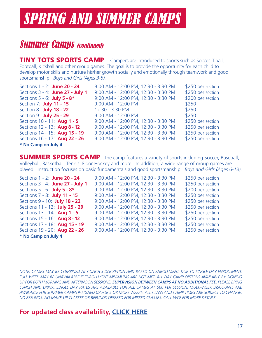## **Summer Camps (continued)**

**TINY TOTS SPORTS CAMP** Campers are introduced to sports such as Soccer, T-ball, Football, Kickball and other group games. The goal is to provide the opportunity for each child to develop motor skills and nurture his/her growth socially and emotionally through teamwork and good sportsmanship. *Boys and Girls (Ages 3-5).*

| Sections 1 - 2: June 20 - 24         | 9:00 AM - 12:00 PM, 12:30 - 3:30 PM | \$250 per section |
|--------------------------------------|-------------------------------------|-------------------|
| Sections 3 - 4: June 27 - July 1     | 9:00 AM - 12:00 PM, 12:30 - 3:30 PM | \$250 per section |
| Sections 5 - 6: July 5 - 8*          | 9:00 AM - 12:00 PM, 12:30 - 3:30 PM | \$200 per section |
| Section 7: <b>July 11 - 15</b>       | 9:00 AM - 12:00 PM                  | \$250             |
| Section 8: <b>July 18 - 22</b>       | 12:30 - 3:30 PM                     | \$250             |
| Section 9: <b>July 25 - 29</b>       | 9:00 AM - 12:00 PM                  | \$250             |
| Sections 10 - 11: Aug 1 - 5          | 9:00 AM - 12:00 PM, 12:30 - 3:30 PM | \$250 per section |
| Sections 12 - 13: Aug 8 - 12         | 9:00 AM - 12:00 PM, 12:30 - 3:30 PM | \$250 per section |
| Sections 14 - 15: Aug 15 - 19        | 9:00 AM - 12:00 PM, 12:30 - 3:30 PM | \$250 per section |
| Sections 16 - 17: <b>Aug 22 - 26</b> | 9:00 AM - 12:00 PM, 12:30 - 3:30 PM | \$250 per section |
| * No Camp on July 4                  |                                     |                   |

**SUMMER SPORTS CAMP** The camp features a variety of sports including Soccer, Baseball, Volleyball, Basketball, Tennis, Floor Hockey and more. In addition, a wide range of group games are played. Instruction focuses on basic fundamentals and good sportsmanship. *Boys and Girls (Ages 6-13).*

| 9:00 AM - 12:00 PM, 12:30 - 3:30 PM | \$250 per section |
|-------------------------------------|-------------------|
| 9:00 AM - 12:00 PM, 12:30 - 3:30 PM | \$250 per section |
| 9:00 AM - 12:00 PM, 12:30 - 3:30 PM | \$200 per section |
| 9:00 AM - 12:00 PM, 12:30 - 3:30 PM | \$250 per section |
| 9:00 AM - 12:00 PM, 12:30 - 3:30 PM | \$250 per section |
| 9:00 AM - 12:00 PM, 12:30 - 3:30 PM | \$250 per section |
| 9:00 AM - 12:00 PM, 12:30 - 3:30 PM | \$250 per section |
| 9:00 AM - 12:00 PM, 12:30 - 3:30 PM | \$250 per section |
| 9:00 AM - 12:00 PM, 12:30 - 3:30 PM | \$250 per section |
| 9:00 AM - 12:00 PM, 12:30 - 3:30 PM | \$250 per section |
|                                     |                   |

**\* No Camp on July 4**

*NOTE: CAMPS MAY BE COMBINED AT COACH'S DISCRETION AND BASED ON ENROLLMENT. DUE TO SINGLE DAY ENROLLMENT, FULL WEEK MAY BE UNAVAILABLE IF ENROLLMENT MINIMUMS ARE NOT MET. ALL DAY CAMP OPTIONS AVAILABLE BY SIGNING UP FOR BOTH MORNING AND AFTERNOON SESSIONS. SUPERVISION BETWEEN CAMPS AT NO ADDITIONAL FEE. PLEASE BRING LUNCH AND DRINK. SINGLE DAY RATES ARE AVAILABLE FOR ALL CAMPS AT \$60 PER SESSION. MULTI-WEEK DISCOUNTS ARE AVAILABLE FOR SUMMER CAMPS IF SIGNED UP FOR 5 OR MORE WEEKS. ALL CLASS AND CAMP TIMES ARE SUBJECT TO CHANGE. NO REFUNDS. NO MAKE-UP CLASSES OR REFUNDS OFFERED FOR MISSED CLASSES. CALL WCF FOR MORE DETAILS.*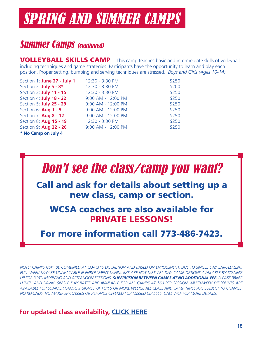## **Summer Camps (continued)**

VOLLEYBALL SKILLS CAMP This camp teaches basic and intermediate skills of volleyball including techniques and game strategies. Participants have the opportunity to learn and play each position. Proper setting, bumping and serving techniques are stressed. *Boys and Girls (Ages 10-14).*

| Section 1: June 27 - July 1    | 12:30 - 3:30 PM    | \$250 |
|--------------------------------|--------------------|-------|
| Section 2: July 5 - 8*         | 12:30 - 3:30 PM    | \$200 |
| Section 3: <b>July 11 - 15</b> | 12:30 - 3:30 PM    | \$250 |
| Section 4: <b>July 18 - 22</b> | 9:00 AM - 12:00 PM | \$250 |
| Section 5: <b>July 25 - 29</b> | 9:00 AM - 12:00 PM | \$250 |
| Section 6: Aug 1 - 5           | 9:00 AM - 12:00 PM | \$250 |
| Section 7: Aug 8 - 12          | 9:00 AM - 12:00 PM | \$250 |
| Section 8: Aug 15 - 19         | 12:30 - 3:30 PM    | \$250 |
| Section 9: Aug 22 - 26         | 9:00 AM - 12:00 PM | \$250 |
| * No Camp on July 4            |                    |       |



Call and ask for details about setting up a new class, camp or section.

WCSA coaches are also available for PRIVATE LESSONS!

For more information call 773-486-7423.

*NOTE: CAMPS MAY BE COMBINED AT COACH'S DISCRETION AND BASED ON ENROLLMENT. DUE TO SINGLE DAY ENROLLMENT, FULL WEEK MAY BE UNAVAILABLE IF ENROLLMENT MINIMUMS ARE NOT MET. ALL DAY CAMP OPTIONS AVAILABLE BY SIGNING UP FOR BOTH MORNING AND AFTERNOON SESSIONS. SUPERVISION BETWEEN CAMPS AT NO ADDITIONAL FEE. PLEASE BRING LUNCH AND DRINK. SINGLE DAY RATES ARE AVAILABLE FOR ALL CAMPS AT \$60 PER SESSION. MULTI-WEEK DISCOUNTS ARE AVAILABLE FOR SUMMER CAMPS IF SIGNED UP FOR 5 OR MORE WEEKS. ALL CLASS AND CAMP TIMES ARE SUBJECT TO CHANGE. NO REFUNDS. NO MAKE-UP CLASSES OR REFUNDS OFFERED FOR MISSED CLASSES. CALL WCF FOR MORE DETAILS.*